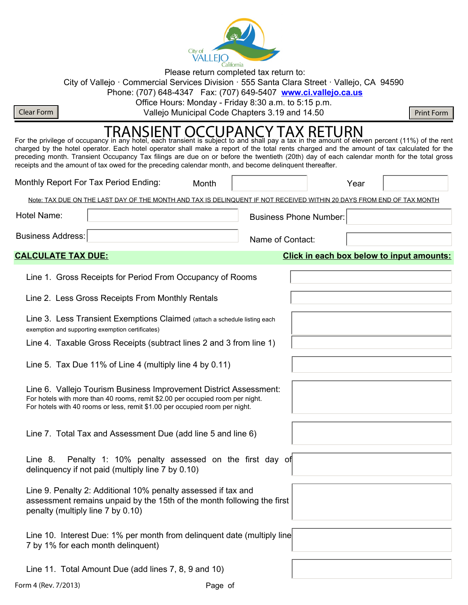

Please return completed tax return to:

City of Vallejo · Commercial Services Division · 555 Santa Clara Street · Vallejo, CA 94590

Phone: (707) 648-4347 Fax: (707) 649-5407 **www.ci.vallejo.ca.us**

Office Hours: Monday - Friday 8:30 a.m. to 5:15 p.m.

Clear Form **Nulle Accord Code Chapters 3.19** and 14.50 **Clear Form** Print Form

# For the privilege of occupancy in any hotel, each transient is subject to and shall pay a tax in the amount of eleven percent (11%) of the rent  $\overline{1, 1}$

charged by the hotel operator. Each hotel operator shall make a report of the total rents charged and the amount of tax calculated for the preceding month. Transient Occupancy Tax filings are due on or before the twentieth (20th) day of each calendar month for the total gross receipts and the amount of tax owed for the preceding calendar month, and become delinquent thereafter.

|                                                                     | Monthly Report For Tax Period Ending:                                                                                                                                                                                             | Month |                  |                               | Year |                                           |  |
|---------------------------------------------------------------------|-----------------------------------------------------------------------------------------------------------------------------------------------------------------------------------------------------------------------------------|-------|------------------|-------------------------------|------|-------------------------------------------|--|
|                                                                     | Note: TAX DUE ON THE LAST DAY OF THE MONTH AND TAX IS DELINQUENT IF NOT RECEIVED WITHIN 20 DAYS FROM END OF TAX MONTH                                                                                                             |       |                  |                               |      |                                           |  |
| Hotel Name:                                                         |                                                                                                                                                                                                                                   |       |                  | <b>Business Phone Number:</b> |      |                                           |  |
| <b>Business Address:</b>                                            |                                                                                                                                                                                                                                   |       | Name of Contact: |                               |      |                                           |  |
| <b>CALCULATE TAX DUE:</b>                                           |                                                                                                                                                                                                                                   |       |                  |                               |      | Click in each box below to input amounts: |  |
|                                                                     | Line 1. Gross Receipts for Period From Occupancy of Rooms                                                                                                                                                                         |       |                  |                               |      |                                           |  |
|                                                                     | Line 2. Less Gross Receipts From Monthly Rentals                                                                                                                                                                                  |       |                  |                               |      |                                           |  |
|                                                                     | Line 3. Less Transient Exemptions Claimed (attach a schedule listing each<br>exemption and supporting exemption certificates)                                                                                                     |       |                  |                               |      |                                           |  |
| Line 4. Taxable Gross Receipts (subtract lines 2 and 3 from line 1) |                                                                                                                                                                                                                                   |       |                  |                               |      |                                           |  |
|                                                                     | Line 5. Tax Due 11% of Line 4 (multiply line 4 by 0.11)                                                                                                                                                                           |       |                  |                               |      |                                           |  |
|                                                                     | Line 6. Vallejo Tourism Business Improvement District Assessment:<br>For hotels with more than 40 rooms, remit \$2.00 per occupied room per night.<br>For hotels with 40 rooms or less, remit \$1.00 per occupied room per night. |       |                  |                               |      |                                           |  |
|                                                                     | Line 7. Total Tax and Assessment Due (add line 5 and line 6)                                                                                                                                                                      |       |                  |                               |      |                                           |  |
| Line 8.                                                             | Penalty 1: 10% penalty assessed on the first day of<br>delinguency if not paid (multiply line 7 by 0.10)                                                                                                                          |       |                  |                               |      |                                           |  |
| penalty (multiply line 7 by 0.10)                                   | Line 9. Penalty 2: Additional 10% penalty assessed if tax and<br>assessment remains unpaid by the 15th of the month following the first                                                                                           |       |                  |                               |      |                                           |  |
|                                                                     | Line 10. Interest Due: 1% per month from delinquent date (multiply line<br>7 by 1% for each month delinguent)                                                                                                                     |       |                  |                               |      |                                           |  |
|                                                                     | Line 11. Total Amount Due (add lines 7, 8, 9 and 10)                                                                                                                                                                              |       |                  |                               |      |                                           |  |